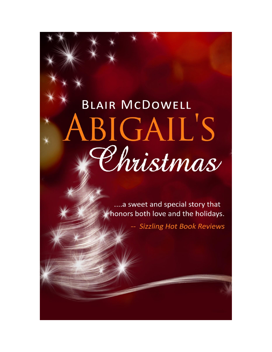## **BLAIR MCDOWELL** ABIGAIL'S Christmas

....a sweet and special story that honors both love and the holidays.

- Sizzling Hot Book Reviews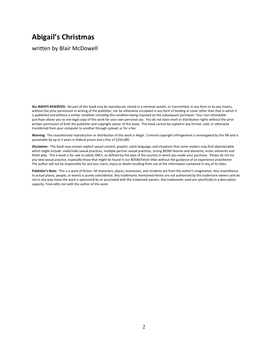## **Abigail's Christmas**

written by Blair McDowell

**ALL RIGHTS RESERVED:** No part of this book may be reproduced, stored in a retrieval system, or transmitted, in any form or by any means, without the prior permission in writing of the publisher, nor be otherwise circulated in any form of binding or cover other than that in which it is published and without a similar condition including this condition being imposed on the subsequent purchaser. Your non-refundable purchase allows you to one legal copy of this work for your own personal use. You do not have resell or distribution rights without the prior written permission of both the publisher and copyright owner of this book. This book cannot be copied in any format, sold, or otherwise transferred from your computer to another through upload, or for a fee.

**Warning:** The unauthorized reproduction or distribution of this work is illegal. Criminal copyright infringement is investigated by the FBI and is punishable by up to 5 years in federal prison and a fine of \$250,000.

**Disclaimer:** This book may contain explicit sexual content, graphic, adult language, and situations that some readers may find objectionable which might include: male/male sexual practices, multiple partner sexual practices, strong BDSM themes and elements, erotic elements and fetish play. This e-book is for sale to adults ONLY, as defined by the laws of the country in which you made your purchase. Please do not try any new sexual practice, especially those that might be found in our BDSM/Fetish titles without the guidance of an experience practitioner. The author will not be responsible for any loss, harm, injury or death resulting from use of the information contained in any of its titles.

**Publisher's Note:** This is a work of fiction. All characters, places, businesses, and incidents are from the author's imagination. Any resemblance to actual places, people, or events is purely coincidental. Any trademarks mentioned herein are not authorized by the trademark owners and do not in any way mean the work is sponsored by or associated with the trademark owners. Any trademarks used are specifically in a descriptive capacity. Final edits rest with the author of this work.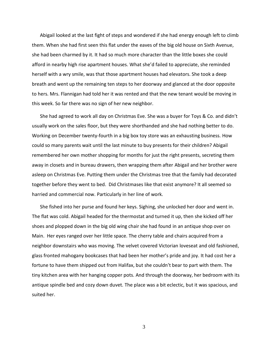Abigail looked at the last fight of steps and wondered if she had energy enough left to climb them. When she had first seen this flat under the eaves of the big old house on Sixth Avenue, she had been charmed by it. It had so much more character than the little boxes she could afford in nearby high rise apartment houses. What she'd failed to appreciate, she reminded herself with a wry smile, was that those apartment houses had elevators. She took a deep breath and went up the remaining ten steps to her doorway and glanced at the door opposite to hers. Mrs. Flannigan had told her it was rented and that the new tenant would be moving in this week. So far there was no sign of her new neighbor.

She had agreed to work all day on Christmas Eve. She was a buyer for Toys & Co. and didn't usually work on the sales floor, but they were shorthanded and she had nothing better to do. Working on December twenty-fourth in a big box toy store was an exhausting business. How could so many parents wait until the last minute to buy presents for their children? Abigail remembered her own mother shopping for months for just the right presents, secreting them away in closets and in bureau drawers, then wrapping them after Abigail and her brother were asleep on Christmas Eve. Putting them under the Christmas tree that the family had decorated together before they went to bed. Did Christmases like that exist anymore? It all seemed so harried and commercial now. Particularly in her line of work.

She fished into her purse and found her keys. Sighing, she unlocked her door and went in. The flat was cold. Abigail headed for the thermostat and turned it up, then she kicked off her shoes and plopped down in the big old wing chair she had found in an antique shop over on Main. Her eyes ranged over her little space. The cherry table and chairs acquired from a neighbor downstairs who was moving. The velvet covered Victorian loveseat and old fashioned, glass fronted mahogany bookcases that had been her mother's pride and joy. It had cost her a fortune to have them shipped out from Halifax, but she couldn't bear to part with them. The tiny kitchen area with her hanging copper pots. And through the doorway, her bedroom with its antique spindle bed and cozy down duvet. The place was a bit eclectic, but it was spacious, and suited her.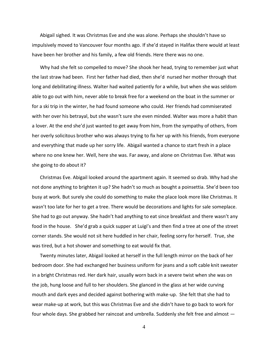Abigail sighed. It was Christmas Eve and she was alone. Perhaps she shouldn't have so impulsively moved to Vancouver four months ago. If she'd stayed in Halifax there would at least have been her brother and his family, a few old friends. Here there was no one.

Why had she felt so compelled to move? She shook her head, trying to remember just what the last straw had been. First her father had died, then she'd nursed her mother through that long and debilitating illness. Walter had waited patiently for a while, but when she was seldom able to go out with him, never able to break free for a weekend on the boat in the summer or for a ski trip in the winter, he had found someone who could. Her friends had commiserated with her over his betrayal, but she wasn't sure she even minded. Walter was more a habit than a lover. At the end she'd just wanted to get away from him, from the sympathy of others, from her overly solicitous brother who was always trying to fix her up with his friends, from everyone and everything that made up her sorry life. Abigail wanted a chance to start fresh in a place where no one knew her. Well, here she was. Far away, and alone on Christmas Eve. What was she going to do about it?

Christmas Eve. Abigail looked around the apartment again. It seemed so drab. Why had she not done anything to brighten it up? She hadn't so much as bought a poinsettia. She'd been too busy at work. But surely she could do something to make the place look more like Christmas. It wasn't too late for her to get a tree. There would be decorations and lights for sale someplace. She had to go out anyway. She hadn't had anything to eat since breakfast and there wasn't any food in the house. She'd grab a quick supper at Luigi's and then find a tree at one of the street corner stands. She would not sit here huddled in her chair, feeling sorry for herself. True, she was tired, but a hot shower and something to eat would fix that.

Twenty minutes later, Abigail looked at herself in the full length mirror on the back of her bedroom door. She had exchanged her business uniform for jeans and a soft cable knit sweater in a bright Christmas red. Her dark hair, usually worn back in a severe twist when she was on the job, hung loose and full to her shoulders. She glanced in the glass at her wide curving mouth and dark eyes and decided against bothering with make-up. She felt that she had to wear make-up at work, but this was Christmas Eve and she didn't have to go back to work for four whole days. She grabbed her raincoat and umbrella. Suddenly she felt free and almost —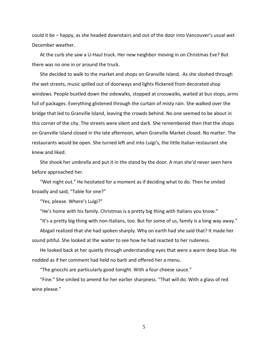could it be – happy, as she headed downstairs and out of the door into Vancouver's usual wet December weather.

At the curb she saw a U-Haul truck. Her new neighbor moving in on Christmas Eve? But there was no one in or around the truck.

She decided to walk to the market and shops on Granville Island. As she sloshed through the wet streets, music spilled out of doorways and lights flickered from decorated shop windows. People bustled down the sidewalks, stopped at crosswalks, waited at bus stops, arms full of packages. Everything glistened through the curtain of misty rain. She walked over the bridge that led to Granville Island, leaving the crowds behind. No one seemed to be about in this corner of the city. The streets were silent and dark. She remembered then that the shops on Granville Island closed in the late afternoon, when Granville Market closed. No matter. The restaurants would be open. She turned left and into Luigi's, the little Italian restaurant she knew and liked.

She shook her umbrella and put it in the stand by the door. A man she'd never seen here before approached her.

"Wet night out." He hesitated for a moment as if deciding what to do. Then he smiled broadly and said, "Table for one?"

"Yes, please. Where's Luigi?"

"He's home with his family. Christmas is a pretty big thing with Italians you know."

"It's a pretty big thing with non-Italians, too. But for some of us, family is a long way away." Abigail realized that she had spoken sharply. Why on earth had she said that? It made her sound pitiful. She looked at the waiter to see how he had reacted to her rudeness.

He looked back at her quietly through understanding eyes that were a warm deep blue. He nodded as if her comment had held no barb and offered her a menu.

"The gnocchi are particularly good tonight. With a four cheese sauce."

"Fine." She smiled to amend for her earlier sharpness. "That will do. With a glass of red wine please."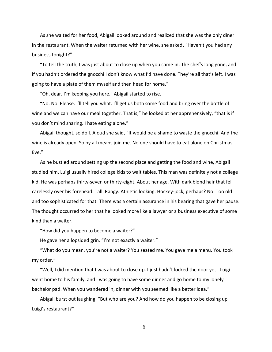As she waited for her food, Abigail looked around and realized that she was the only diner in the restaurant. When the waiter returned with her wine, she asked, "Haven't you had any business tonight?"

"To tell the truth, I was just about to close up when you came in. The chef's long gone, and if you hadn't ordered the gnocchi I don't know what I'd have done. They're all that's left. I was going to have a plate of them myself and then head for home."

"Oh, dear. I'm keeping you here." Abigail started to rise.

"No. No. Please. I'll tell you what. I'll get us both some food and bring over the bottle of wine and we can have our meal together. That is," he looked at her apprehensively, "that is if you don't mind sharing. I hate eating alone."

Abigail thought, so do I. Aloud she said, "It would be a shame to waste the gnocchi. And the wine is already open. So by all means join me. No one should have to eat alone on Christmas Eve."

As he bustled around setting up the second place and getting the food and wine, Abigail studied him. Luigi usually hired college kids to wait tables. This man was definitely not a college kid. He was perhaps thirty-seven or thirty-eight. About her age. With dark blond hair that fell carelessly over his forehead. Tall. Rangy. Athletic looking. Hockey-jock, perhaps? No. Too old and too sophisticated for that. There was a certain assurance in his bearing that gave her pause. The thought occurred to her that he looked more like a lawyer or a business executive of some kind than a waiter.

"How did you happen to become a waiter?"

He gave her a lopsided grin. "I'm not exactly a waiter."

"What do you mean, you're not a waiter? You seated me. You gave me a menu. You took my order."

"Well, I did mention that I was about to close up. I just hadn't locked the door yet. Luigi went home to his family, and I was going to have some dinner and go home to my lonely bachelor pad. When you wandered in, dinner with you seemed like a better idea."

Abigail burst out laughing. "But who are you? And how do you happen to be closing up Luigi's restaurant?"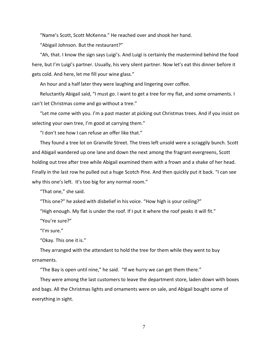"Name's Scott, Scott McKenna." He reached over and shook her hand.

"Abigail Johnson. But the restaurant?"

"Ah, that. I know the sign says Luigi's. And Luigi is certainly the mastermind behind the food here, but I'm Luigi's partner. Usually, his very silent partner. Now let's eat this dinner before it gets cold. And here, let me fill your wine glass."

An hour and a half later they were laughing and lingering over coffee.

Reluctantly Abigail said, "I must go. I want to get a tree for my flat, and some ornaments. I can't let Christmas come and go without a tree."

"Let me come with you. I'm a past master at picking out Christmas trees. And if you insist on selecting your own tree, I'm good at carrying them."

"I don't see how I can refuse an offer like that."

They found a tree lot on Granville Street. The trees left unsold were a scraggily bunch. Scott and Abigail wandered up one lane and down the next among the fragrant evergreens, Scott holding out tree after tree while Abigail examined them with a frown and a shake of her head. Finally in the last row he pulled out a huge Scotch Pine. And then quickly put it back. "I can see why this one's left. It's too big for any normal room."

"That one," she said.

"This one?" he asked with disbelief in his voice. "How high is your ceiling?"

"High enough. My flat is under the roof. If I put it where the roof peaks it will fit."

"You're sure?"

"I'm sure."

"Okay. This one it is."

They arranged with the attendant to hold the tree for them while they went to buy ornaments.

"The Bay is open until nine," he said. "If we hurry we can get them there."

They were among the last customers to leave the department store, laden down with boxes and bags. All the Christmas lights and ornaments were on sale, and Abigail bought some of everything in sight.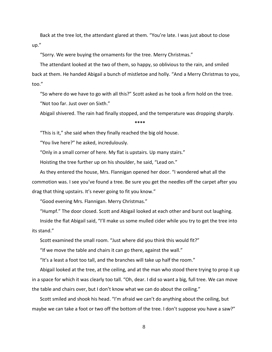Back at the tree lot, the attendant glared at them. "You're late. I was just about to close up."

"Sorry. We were buying the ornaments for the tree. Merry Christmas."

The attendant looked at the two of them, so happy, so oblivious to the rain, and smiled back at them. He handed Abigail a bunch of mistletoe and holly. "And a Merry Christmas to you, too."

"So where do we have to go with all this?" Scott asked as he took a firm hold on the tree. "Not too far. Just over on Sixth."

Abigail shivered. The rain had finally stopped, and the temperature was dropping sharply.

**\*\*\*\***

"This is it," she said when they finally reached the big old house.

"You live here?" he asked, incredulously.

"Only in a small corner of here. My flat is upstairs. Up many stairs."

Hoisting the tree further up on his shoulder, he said, "Lead on."

As they entered the house, Mrs. Flannigan opened her door. "I wondered what all the commotion was. I see you've found a tree. Be sure you get the needles off the carpet after you drag that thing upstairs. It's never going to fit you know."

"Good evening Mrs. Flannigan. Merry Christmas."

"Humpf." The door closed. Scott and Abigail looked at each other and burst out laughing.

Inside the flat Abigail said, "I'll make us some mulled cider while you try to get the tree into its stand."

Scott examined the small room. "Just where did you think this would fit?"

"If we move the table and chairs it can go there, against the wall."

"It's a least a foot too tall, and the branches will take up half the room."

Abigail looked at the tree, at the ceiling, and at the man who stood there trying to prop it up in a space for which it was clearly too tall. "Oh, dear. I did so want a big, full tree. We can move the table and chairs over, but I don't know what we can do about the ceiling."

Scott smiled and shook his head. "I'm afraid we can't do anything about the ceiling, but maybe we can take a foot or two off the bottom of the tree. I don't suppose you have a saw?"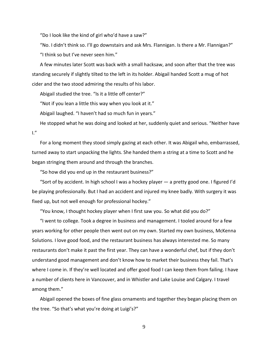"Do I look like the kind of girl who'd have a saw?"

"No. I didn't think so. I'll go downstairs and ask Mrs. Flannigan. Is there a Mr. Flannigan?" "I think so but I've never seen him."

A few minutes later Scott was back with a small hacksaw, and soon after that the tree was standing securely if slightly tilted to the left in its holder. Abigail handed Scott a mug of hot cider and the two stood admiring the results of his labor.

Abigail studied the tree. "Is it a little off center?"

"Not if you lean a little this way when you look at it."

Abigail laughed. "I haven't had so much fun in years."

He stopped what he was doing and looked at her, suddenly quiet and serious. "Neither have  $\mathbf{I}$ ."

For a long moment they stood simply gazing at each other. It was Abigail who, embarrassed, turned away to start unpacking the lights. She handed them a string at a time to Scott and he began stringing them around and through the branches.

"So how did you end up in the restaurant business?"

"Sort of by accident. In high school I was a hockey player — a pretty good one. I figured I'd be playing professionally. But I had an accident and injured my knee badly. With surgery it was fixed up, but not well enough for professional hockey."

"You know, I thought hockey player when I first saw you. So what did you do?"

"I went to college. Took a degree in business and management. I tooled around for a few years working for other people then went out on my own. Started my own business, McKenna Solutions. I love good food, and the restaurant business has always interested me. So many restaurants don't make it past the first year. They can have a wonderful chef, but if they don't understand good management and don't know how to market their business they fail. That's where I come in. If they're well located and offer good food I can keep them from failing. I have a number of clients here in Vancouver, and in Whistler and Lake Louise and Calgary. I travel among them."

Abigail opened the boxes of fine glass ornaments and together they began placing them on the tree. "So that's what you're doing at Luigi's?"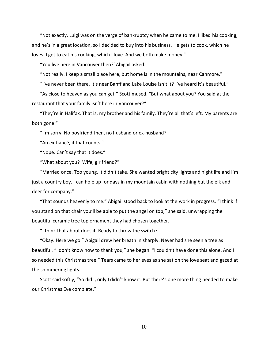"Not exactly. Luigi was on the verge of bankruptcy when he came to me. I liked his cooking, and he's in a great location, so I decided to buy into his business. He gets to cook, which he loves. I get to eat his cooking, which I love. And we both make money."

"You live here in Vancouver then?"Abigail asked.

"Not really. I keep a small place here, but home is in the mountains, near Canmore."

"I've never been there. It's near Banff and Lake Louise isn't it? I've heard it's beautiful."

"As close to heaven as you can get." Scott mused. "But what about you? You said at the restaurant that your family isn't here in Vancouver?"

"They're in Halifax. That is, my brother and his family. They're all that's left. My parents are both gone."

"I'm sorry. No boyfriend then, no husband or ex-husband?"

"An ex-fiancé, if that counts."

"Nope. Can't say that it does."

"What about you? Wife, girlfriend?"

"Married once. Too young. It didn't take. She wanted bright city lights and night life and I'm just a country boy. I can hole up for days in my mountain cabin with nothing but the elk and deer for company."

"That sounds heavenly to me." Abigail stood back to look at the work in progress. "I think if you stand on that chair you'll be able to put the angel on top," she said, unwrapping the beautiful ceramic tree top ornament they had chosen together.

"I think that about does it. Ready to throw the switch?"

"Okay. Here we go." Abigail drew her breath in sharply. Never had she seen a tree as beautiful. "I don't know how to thank you," she began. "I couldn't have done this alone. And I so needed this Christmas tree." Tears came to her eyes as she sat on the love seat and gazed at the shimmering lights.

Scott said softly, "So did I, only I didn't know it. But there's one more thing needed to make our Christmas Eve complete."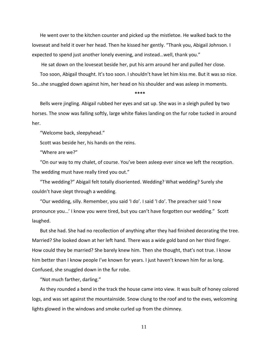He went over to the kitchen counter and picked up the mistletoe. He walked back to the loveseat and held it over her head. Then he kissed her gently. "Thank you, Abigail Johnson. I expected to spend just another lonely evening, and instead…well, thank you."

He sat down on the loveseat beside her, put his arm around her and pulled her close.

Too soon, Abigail thought. It's too soon. I shouldn't have let him kiss me. But it was so nice. So…she snuggled down against him, her head on his shoulder and was asleep in moments.

**\*\*\*\***

Bells were jingling. Abigail rubbed her eyes and sat up. She was in a sleigh pulled by two horses. The snow was falling softly, large white flakes landing on the fur robe tucked in around her.

"Welcome back, sleepyhead."

Scott was beside her, his hands on the reins.

"Where are we?"

"On our way to my chalet, of course. You've been asleep ever since we left the reception. The wedding must have really tired you out."

"The wedding?" Abigail felt totally disoriented. Wedding? What wedding? Surely she couldn't have slept through a wedding.

"Our wedding, silly. Remember, you said 'I do'. I said 'I do'. The preacher said 'I now pronounce you…' I know you were tired, but you can't have forgotten our wedding." Scott laughed.

But she had. She had no recollection of anything after they had finished decorating the tree. Married? She looked down at her left hand. There was a wide gold band on her third finger. How could they be married? She barely knew him. Then she thought, that's not true. I know him better than I know people I've known for years. I just haven't known him for as long. Confused, she snuggled down in the fur robe.

"Not much farther, darling."

As they rounded a bend in the track the house came into view. It was built of honey colored logs, and was set against the mountainside. Snow clung to the roof and to the eves, welcoming lights glowed in the windows and smoke curled up from the chimney.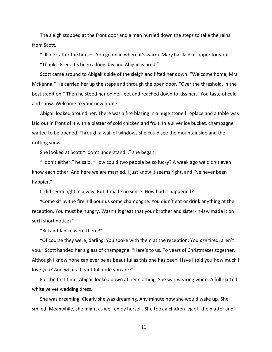The sleigh stopped at the front door and a man hurried down the steps to take the reins from Scott.

"I'll look after the horses. You go on in where it's warm. Mary has laid a supper for you." "Thanks, Fred. It's been a long day and Abigail is tired."

Scott came around to Abigail's side of the sleigh and lifted her down. "Welcome home, Mrs. McKenna." He carried her up the steps and through the open door. "Over the threshold, in the best tradition." Then he stood her on her feet and reached down to kiss her. "You taste of cold and snow. Welcome to your new home."

Abigail looked around her. There was a fire blazing in a huge stone fireplace and a table was laid out in front of it with a platter of cold chicken and fruit. In a silver ice bucket, champagne waited to be opened. Through a wall of windows she could see the mountainside and the drifting snow.

She looked at Scott "I don't understand…" she began.

"I don't either," he said. "How could two people be so lucky? A week ago we didn't even know each other. And here we are married. I just know it seems right, and I've never been happier."

It did seem right in a way. But it made no sense. How had it happened?

"Come sit by the fire. I'll pour us some champagne. You didn't eat or drink anything at the reception. You must be hungry. Wasn't it great that your brother and sister-in-law made it on such short notice?"

"Bill and Janice were there?"

"Of course they were, darling. You spoke with them at the reception. You *are* tired, aren't you." Scott handed her a glass of champagne. "Here's to us. To years of Christmases together. Although I know none can ever be as beautiful as this one has been. Have I told you how much I love you? And what a beautiful bride you are?"

For the first time, Abigail looked down at her clothing. She was wearing white. A full skirted white velvet wedding dress.

She was dreaming. Clearly she was dreaming. Any minute now she would wake up. She smiled. Meanwhile, she might as well enjoy herself. She took a chicken leg off the platter and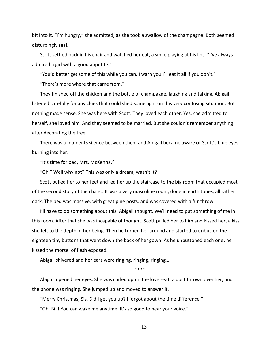bit into it. "I'm hungry," she admitted, as she took a swallow of the champagne. Both seemed disturbingly real.

Scott settled back in his chair and watched her eat, a smile playing at his lips. "I've always admired a girl with a good appetite."

"You'd better get some of this while you can. I warn you I'll eat it all if you don't."

"There's more where that came from."

They finished off the chicken and the bottle of champagne, laughing and talking. Abigail listened carefully for any clues that could shed some light on this very confusing situation. But nothing made sense. She was here with Scott. They loved each other. Yes, she admitted to herself, she loved him. And they seemed to be married. But she couldn't remember anything after decorating the tree.

There was a moments silence between them and Abigail became aware of Scott's blue eyes burning into her.

"It's time for bed, Mrs. McKenna."

"Oh." Well why not? This was only a dream, wasn't it?

Scott pulled her to her feet and led her up the staircase to the big room that occupied most of the second story of the chalet. It was a very masculine room, done in earth tones, all rather dark. The bed was massive, with great pine posts, and was covered with a fur throw.

I'll have to do something about this, Abigail thought. We'll need to put something of me in this room. After that she was incapable of thought. Scott pulled her to him and kissed her, a kiss she felt to the depth of her being. Then he turned her around and started to unbutton the eighteen tiny buttons that went down the back of her gown. As he unbuttoned each one, he kissed the morsel of flesh exposed.

Abigail shivered and her ears were ringing, ringing, ringing…

**\*\*\*\***

Abigail opened her eyes. She was curled up on the love seat, a quilt thrown over her, and the phone was ringing. She jumped up and moved to answer it.

"Merry Christmas, Sis. Did I get you up? I forgot about the time difference."

"Oh, Bill! You can wake me anytime. It's so good to hear your voice."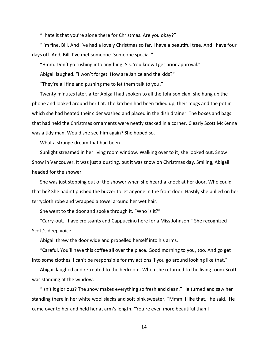"I hate it that you're alone there for Christmas. Are you okay?"

"I'm fine, Bill. And I've had a lovely Christmas so far. I have a beautiful tree. And I have four days off. And, Bill, I've met someone. Someone special."

"Hmm. Don't go rushing into anything, Sis. You know I get prior approval."

Abigail laughed. "I won't forget. How are Janice and the kids?"

"They're all fine and pushing me to let them talk to you."

Twenty minutes later, after Abigail had spoken to all the Johnson clan, she hung up the phone and looked around her flat. The kitchen had been tidied up, their mugs and the pot in which she had heated their cider washed and placed in the dish drainer. The boxes and bags that had held the Christmas ornaments were neatly stacked in a corner. Clearly Scott McKenna was a tidy man. Would she see him again? She hoped so.

What a strange dream that had been.

Sunlight streamed in her living room window. Walking over to it, she looked out. Snow! Snow in Vancouver. It was just a dusting, but it was snow on Christmas day. Smiling, Abigail headed for the shower.

She was just stepping out of the shower when she heard a knock at her door. Who could that be? She hadn't pushed the buzzer to let anyone in the front door. Hastily she pulled on her terrycloth robe and wrapped a towel around her wet hair.

She went to the door and spoke through it. "Who is it?"

"Carry-out. I have croissants and Cappuccino here for a Miss Johnson." She recognized Scott's deep voice.

Abigail threw the door wide and propelled herself into his arms.

"Careful. You'll have this coffee all over the place. Good morning to you, too. And go get into some clothes. I can't be responsible for my actions if you go around looking like that."

Abigail laughed and retreated to the bedroom. When she returned to the living room Scott was standing at the window.

"Isn't it glorious? The snow makes everything so fresh and clean." He turned and saw her standing there in her white wool slacks and soft pink sweater. "Mmm. I like that," he said. He came over to her and held her at arm's length. "You're even more beautiful than I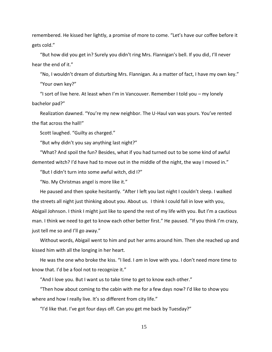remembered. He kissed her lightly, a promise of more to come. "Let's have our coffee before it gets cold."

"But how did you get in? Surely you didn't ring Mrs. Flannigan's bell. If you did, I'll never hear the end of it."

"No, I wouldn't dream of disturbing Mrs. Flannigan. As a matter of fact, I have my own key." "Your own key?"

"I sort of live here. At least when I'm in Vancouver. Remember I told you – my lonely bachelor pad?"

Realization dawned. "You're my new neighbor. The U-Haul van was yours. You've rented the flat across the hall!"

Scott laughed. "Guilty as charged."

"But why didn't you say anything last night?"

"What? And spoil the fun? Besides, what if you had turned out to be some kind of awful demented witch? I'd have had to move out in the middle of the night, the way I moved in."

"But I didn't turn into some awful witch, did I?"

"No. My Christmas angel is more like it."

He paused and then spoke hesitantly. "After I left you last night I couldn't sleep. I walked the streets all night just thinking about you. About us. I think I could fall in love with you, Abigail Johnson. I think I might just like to spend the rest of my life with you. But I'm a cautious man. I think we need to get to know each other better first." He paused. "If you think I'm crazy, just tell me so and I'll go away."

Without words, Abigail went to him and put her arms around him. Then she reached up and kissed him with all the longing in her heart.

He was the one who broke the kiss. "I lied. I *am* in love with you. I don't need more time to know that. I'd be a fool not to recognize it."

"And I love you. But I want us to take time to get to know each other."

"Then how about coming to the cabin with me for a few days now? I'd like to show you where and how I really live. It's so different from city life."

"I'd like that. I've got four days off. Can you get me back by Tuesday?"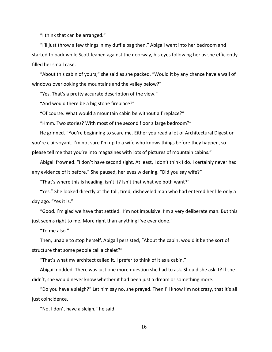"I think that can be arranged."

"I'll just throw a few things in my duffle bag then." Abigail went into her bedroom and started to pack while Scott leaned against the doorway, his eyes following her as she efficiently filled her small case.

"About this cabin of yours," she said as she packed. "Would it by any chance have a wall of windows overlooking the mountains and the valley below?"

"Yes. That's a pretty accurate description of the view."

"And would there be a big stone fireplace?"

"Of course. What would a mountain cabin be without a fireplace?"

"Hmm. Two stories? With most of the second floor a large bedroom?"

He grinned. "You're beginning to scare me. Either you read a lot of Architectural Digest or you're clairvoyant. I'm not sure I'm up to a wife who knows things before they happen, so please tell me that you're into magazines with lots of pictures of mountain cabins."

Abigail frowned. "I don't have second sight. At least, I don't think I do. I certainly never had any evidence of it before." She paused, her eyes widening. "Did you say wife?"

"That's where this is heading, isn't it? Isn't that what we both want?"

"Yes." She looked directly at the tall, tired, disheveled man who had entered her life only a day ago. "Yes it is."

"Good. I'm glad we have that settled. I'm not impulsive. I'm a very deliberate man. But this just seems right to me. More right than anything I've ever done."

"To me also."

Then, unable to stop herself, Abigail persisted, "About the cabin, would it be the sort of structure that some people call a chalet?"

"That's what my architect called it. I prefer to think of it as a cabin."

Abigail nodded. There was just one more question she had to ask. Should she ask it? If she didn't, she would never know whether it had been just a dream or something more.

"Do you have a sleigh?" Let him say no, she prayed. Then I'll know I'm not crazy, that it's all just coincidence.

"No, I don't have a sleigh," he said.